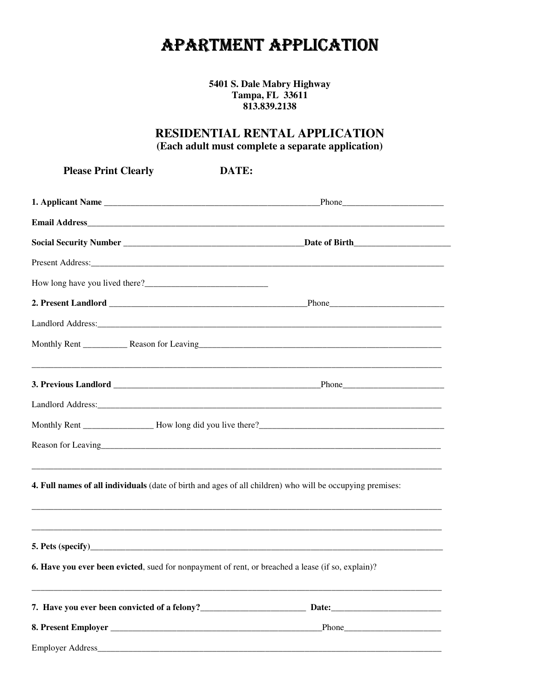## **APARTMENT APPLICATION**

5401 S. Dale Mabry Highway Tampa, FL 33611 813.839.2138

## RESIDENTIAL RENTAL APPLICATION (Each adult must complete a separate application)

DATE:

**Please Print Clearly** 

| Reason for Leaving                                                                                               |  |  |  |  |
|------------------------------------------------------------------------------------------------------------------|--|--|--|--|
| <b>4. Full names of all individuals</b> (date of birth and ages of all children) who will be occupying premises: |  |  |  |  |
|                                                                                                                  |  |  |  |  |
| 6. Have you ever been evicted, sued for nonpayment of rent, or breached a lease (if so, explain)?                |  |  |  |  |
|                                                                                                                  |  |  |  |  |
|                                                                                                                  |  |  |  |  |
|                                                                                                                  |  |  |  |  |